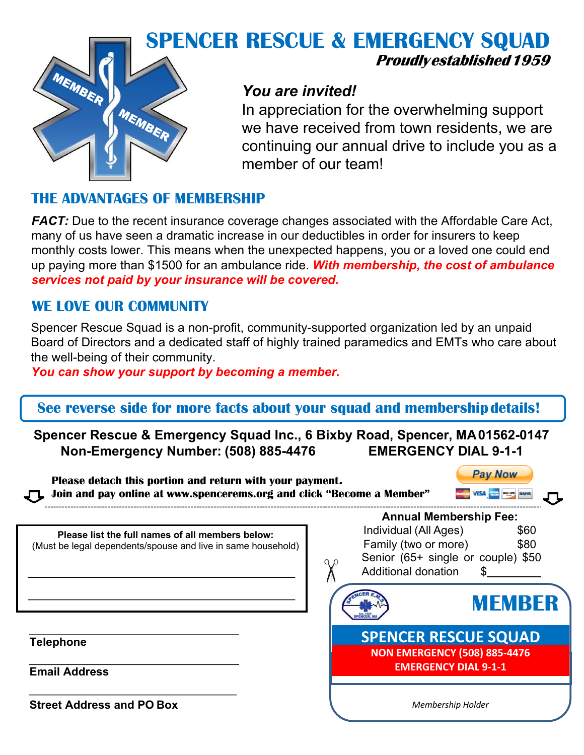

# **SPENCER RESCUE & EMERGENCY SQUAD Proudlyestablished1959**

## *You are invited!*

In appreciation for the overwhelming support we have received from town residents, we are continuing our annual drive to include you as a member of our team!

### **THE ADVANTAGES OF MEMBERSHIP**

*FACT:* Due to the recent insurance coverage changes associated with the Affordable Care Act, many of us have seen a dramatic increase in our deductibles in order for insurers to keep monthly costs lower. This means when the unexpected happens, you or a loved one could end up paying more than \$1500 for an ambulance ride. *With membership, the cost of ambulance services not paid by your insurance will be covered.*

### **WE LOVE OUR COMMUNITY**

Spencer Rescue Squad is a non-profit, community-supported organization led by an unpaid Board of Directors and a dedicated staff of highly trained paramedics and EMTs who care about the well-being of their community.

*You can show your support by becoming a member.*

### **See reverse side for more facts about your squad and membershipdetails!**

**Spencer Rescue & Emergency Squad Inc., 6 Bixby Road, Spencer, MA01562-0147 Non-Emergency Number: (508) 885-4476 EMERGENCY DIAL 9-1-1**

| <b>Pay Now</b><br>Please detach this portion and return with your payment.<br>Join and pay online at www.spencerems.org and click "Become a Member" |                                     |
|-----------------------------------------------------------------------------------------------------------------------------------------------------|-------------------------------------|
|                                                                                                                                                     | <b>Annual Membership Fee:</b>       |
| Please list the full names of all members below:                                                                                                    | Individual (All Ages)<br>\$60       |
| (Must be legal dependents/spouse and live in same household)                                                                                        | Family (two or more)<br>\$80        |
|                                                                                                                                                     | Senior (65+ single or couple) \$50  |
|                                                                                                                                                     | Additional donation                 |
|                                                                                                                                                     | <b>MEMBER</b>                       |
| <b>Telephone</b>                                                                                                                                    | <b>SPENCER RESCUE SQUAD</b>         |
|                                                                                                                                                     | <b>NON EMERGENCY (508) 885-4476</b> |
| <b>Email Address</b>                                                                                                                                | <b>EMERGENCY DIAL 9-1-1</b>         |
| <b>Street Address and PO Box</b>                                                                                                                    | Membership Holder                   |